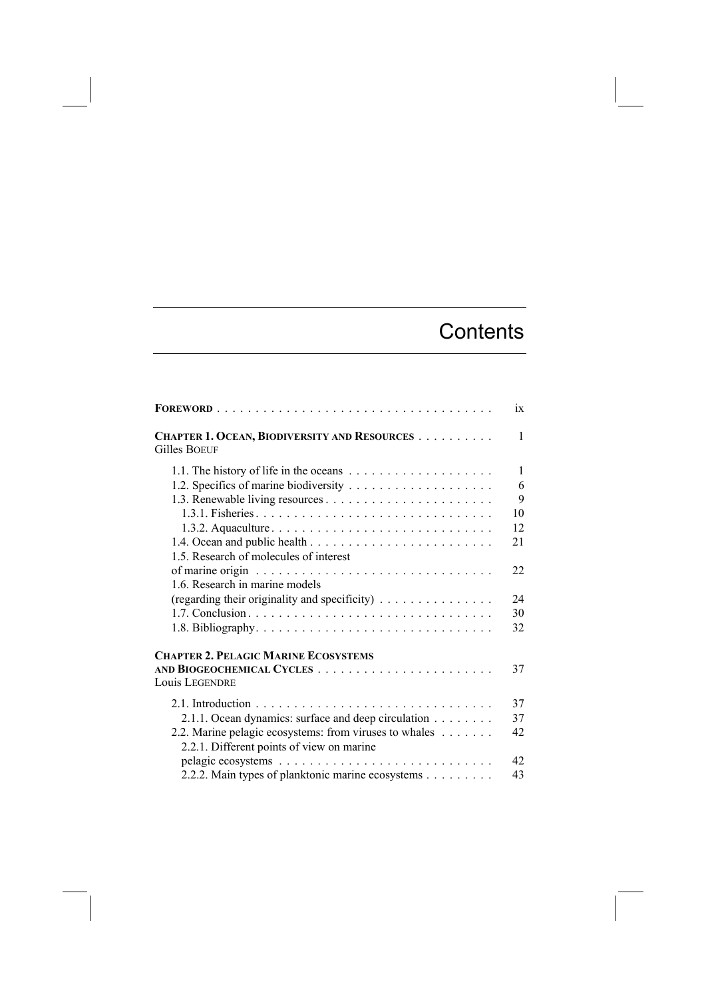## **Contents**

|                                                                     | ix           |
|---------------------------------------------------------------------|--------------|
| CHAPTER 1. OCEAN, BIODIVERSITY AND RESOURCES<br><b>Gilles BOEUF</b> | $\mathbf{1}$ |
|                                                                     | $\mathbf{1}$ |
|                                                                     | 6            |
|                                                                     | 9            |
|                                                                     | 10           |
|                                                                     | 12           |
|                                                                     | 21           |
| 1.5. Research of molecules of interest                              |              |
|                                                                     | 22           |
| 1.6. Research in marine models                                      |              |
| (regarding their originality and specificity)                       | 24           |
|                                                                     | 30           |
|                                                                     | 32           |
|                                                                     |              |
| <b>CHAPTER 2. PELAGIC MARINE ECOSYSTEMS</b>                         |              |
|                                                                     | 37           |
| <b>Louis LEGENDRE</b>                                               |              |
|                                                                     | 37           |
| 2.1.1. Ocean dynamics: surface and deep circulation                 | 37           |
| 2.2. Marine pelagic ecosystems: from viruses to whales              | 42           |
| 2.2.1. Different points of view on marine                           |              |
|                                                                     | 42           |
| 2.2.2. Main types of planktonic marine ecosystems                   | 43           |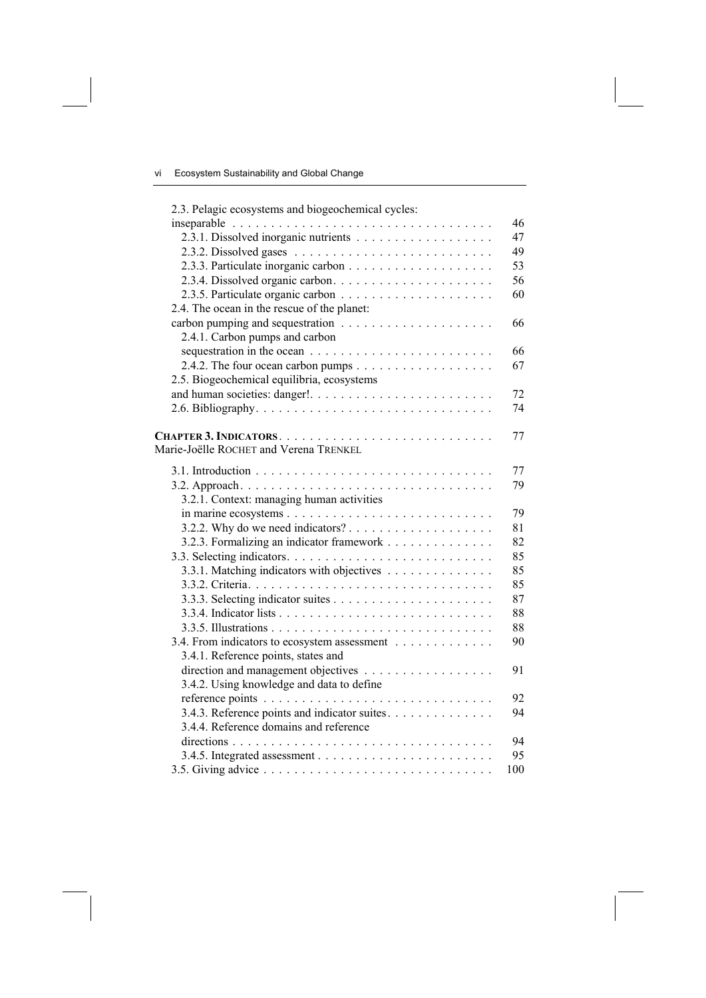| 2.3. Pelagic ecosystems and biogeochemical cycles:                            |     |
|-------------------------------------------------------------------------------|-----|
|                                                                               | 46  |
|                                                                               | 47  |
|                                                                               | 49  |
|                                                                               | 53  |
|                                                                               | 56  |
|                                                                               | 60  |
| 2.4. The ocean in the rescue of the planet:                                   |     |
|                                                                               | 66  |
| 2.4.1. Carbon pumps and carbon                                                |     |
|                                                                               | 66  |
|                                                                               | 67  |
| 2.5. Biogeochemical equilibria, ecosystems                                    |     |
|                                                                               | 72  |
|                                                                               | 74  |
|                                                                               | 77  |
| Marie-Joëlle ROCHET and Verena TRENKEL                                        |     |
|                                                                               | 77  |
|                                                                               | 79  |
| 3.2.1. Context: managing human activities                                     |     |
|                                                                               | 79  |
| 3.2.2. Why do we need indicators? $\dots \dots \dots \dots \dots \dots \dots$ | 81  |
| 3.2.3. Formalizing an indicator framework                                     | 82  |
|                                                                               | 85  |
| 3.3.1. Matching indicators with objectives                                    | 85  |
|                                                                               | 85  |
|                                                                               | 87  |
|                                                                               | 88  |
|                                                                               | 88  |
| 3.4. From indicators to ecosystem assessment                                  | 90  |
| 3.4.1. Reference points, states and                                           |     |
|                                                                               | 91  |
| 3.4.2. Using knowledge and data to define                                     |     |
|                                                                               | 92  |
| 3.4.3. Reference points and indicator suites.                                 | 94  |
| 3.4.4. Reference domains and reference                                        |     |
|                                                                               | 94  |
|                                                                               | 95  |
|                                                                               | 100 |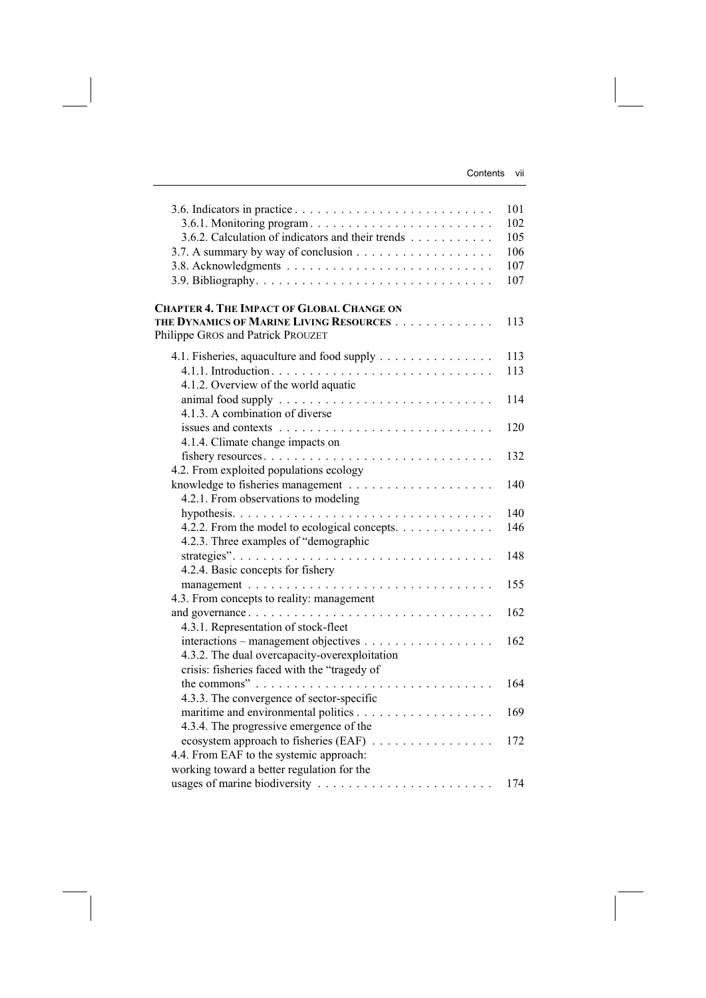|                                                   | 101 |
|---------------------------------------------------|-----|
| 3.6.1. Monitoring program                         | 102 |
| 3.6.2. Calculation of indicators and their trends | 105 |
|                                                   | 106 |
|                                                   | 107 |
|                                                   | 107 |
| <b>CHAPTER 4. THE IMPACT OF GLOBAL CHANGE ON</b>  |     |
| THE DYNAMICS OF MARINE LIVING RESOURCES           | 113 |
| Philippe GROS and Patrick PROUZET                 |     |
| 4.1. Fisheries, aquaculture and food supply       | 113 |
|                                                   | 113 |
| 4.1.2. Overview of the world aquatic              |     |
|                                                   | 114 |
| 4.1.3. A combination of diverse                   |     |
|                                                   | 120 |
| 4.1.4. Climate change impacts on                  |     |
|                                                   | 132 |
| 4.2. From exploited populations ecology           |     |
|                                                   | 140 |
| 4.2.1. From observations to modeling              |     |
|                                                   | 140 |
| 4.2.2. From the model to ecological concepts.     | 146 |
| 4.2.3. Three examples of "demographic             |     |
|                                                   | 148 |
| 4.2.4. Basic concepts for fishery                 |     |
|                                                   | 155 |
| 4.3. From concepts to reality: management         |     |
| and governance                                    | 162 |
| 4.3.1. Representation of stock-fleet              |     |
|                                                   | 162 |
| 4.3.2. The dual overcapacity-overexploitation     |     |
| crisis: fisheries faced with the "tragedy of      |     |
|                                                   | 164 |
| 4.3.3. The convergence of sector-specific         |     |
|                                                   | 169 |
| 4.3.4. The progressive emergence of the           |     |
|                                                   | 172 |
| 4.4. From EAF to the systemic approach:           |     |
| working toward a better regulation for the        |     |
|                                                   | 174 |